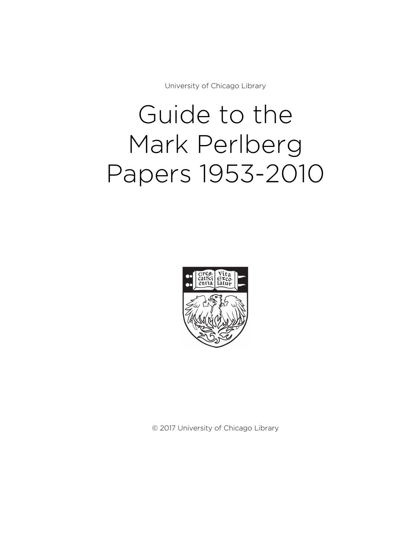University of Chicago Library

# Guide to the Mark Perlberg Papers 1953-2010



© 2017 University of Chicago Library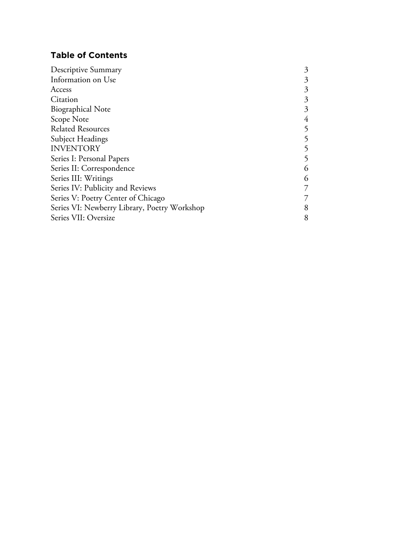# **Table of Contents**

| Descriptive Summary                          | 3 |
|----------------------------------------------|---|
| Information on Use                           | 3 |
| Access                                       | 3 |
| Citation                                     | 3 |
| <b>Biographical Note</b>                     | 3 |
| Scope Note                                   | 4 |
| <b>Related Resources</b>                     | 5 |
| Subject Headings                             | 5 |
| <b>INVENTORY</b>                             | 5 |
| Series I: Personal Papers                    | 5 |
| Series II: Correspondence                    | 6 |
| Series III: Writings                         | 6 |
| Series IV: Publicity and Reviews             |   |
| Series V: Poetry Center of Chicago           |   |
| Series VI: Newberry Library, Poetry Workshop | 8 |
| Series VII: Oversize                         | 8 |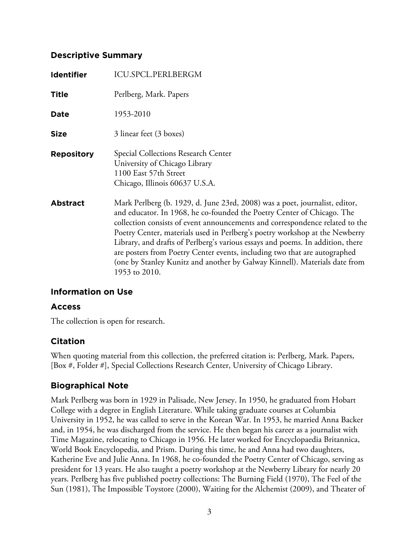## **Descriptive Summary**

| Identifier        | <b>ICU.SPCL.PERLBERGM</b>                                                                                                                                                                                                                                                                                                                                                                                                                                                                                                                                         |
|-------------------|-------------------------------------------------------------------------------------------------------------------------------------------------------------------------------------------------------------------------------------------------------------------------------------------------------------------------------------------------------------------------------------------------------------------------------------------------------------------------------------------------------------------------------------------------------------------|
| <b>Title</b>      | Perlberg, Mark. Papers                                                                                                                                                                                                                                                                                                                                                                                                                                                                                                                                            |
| Date              | 1953-2010                                                                                                                                                                                                                                                                                                                                                                                                                                                                                                                                                         |
| <b>Size</b>       | 3 linear feet (3 boxes)                                                                                                                                                                                                                                                                                                                                                                                                                                                                                                                                           |
| <b>Repository</b> | Special Collections Research Center<br>University of Chicago Library<br>1100 East 57th Street<br>Chicago, Illinois 60637 U.S.A.                                                                                                                                                                                                                                                                                                                                                                                                                                   |
| <b>Abstract</b>   | Mark Perlberg (b. 1929, d. June 23rd, 2008) was a poet, journalist, editor,<br>and educator. In 1968, he co-founded the Poetry Center of Chicago. The<br>collection consists of event announcements and correspondence related to the<br>Poetry Center, materials used in Perlberg's poetry workshop at the Newberry<br>Library, and drafts of Perlberg's various essays and poems. In addition, there<br>are posters from Poetry Center events, including two that are autographed<br>(one by Stanley Kunitz and another by Galway Kinnell). Materials date from |

# **Information on Use**

# **Access**

The collection is open for research.

1953 to 2010.

# **Citation**

When quoting material from this collection, the preferred citation is: Perlberg, Mark. Papers, [Box #, Folder #], Special Collections Research Center, University of Chicago Library.

# **Biographical Note**

Mark Perlberg was born in 1929 in Palisade, New Jersey. In 1950, he graduated from Hobart College with a degree in English Literature. While taking graduate courses at Columbia University in 1952, he was called to serve in the Korean War. In 1953, he married Anna Backer and, in 1954, he was discharged from the service. He then began his career as a journalist with Time Magazine, relocating to Chicago in 1956. He later worked for Encyclopaedia Britannica, World Book Encyclopedia, and Prism. During this time, he and Anna had two daughters, Katherine Eve and Julie Anna. In 1968, he co-founded the Poetry Center of Chicago, serving as president for 13 years. He also taught a poetry workshop at the Newberry Library for nearly 20 years. Perlberg has five published poetry collections: The Burning Field (1970), The Feel of the Sun (1981), The Impossible Toystore (2000), Waiting for the Alchemist (2009), and Theater of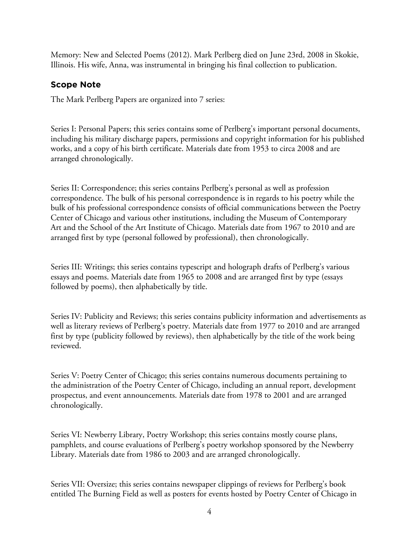Memory: New and Selected Poems (2012). Mark Perlberg died on June 23rd, 2008 in Skokie, Illinois. His wife, Anna, was instrumental in bringing his final collection to publication.

# **Scope Note**

The Mark Perlberg Papers are organized into 7 series:

Series I: Personal Papers; this series contains some of Perlberg's important personal documents, including his military discharge papers, permissions and copyright information for his published works, and a copy of his birth certificate. Materials date from 1953 to circa 2008 and are arranged chronologically.

Series II: Correspondence; this series contains Perlberg's personal as well as profession correspondence. The bulk of his personal correspondence is in regards to his poetry while the bulk of his professional correspondence consists of official communications between the Poetry Center of Chicago and various other institutions, including the Museum of Contemporary Art and the School of the Art Institute of Chicago. Materials date from 1967 to 2010 and are arranged first by type (personal followed by professional), then chronologically.

Series III: Writings; this series contains typescript and holograph drafts of Perlberg's various essays and poems. Materials date from 1965 to 2008 and are arranged first by type (essays followed by poems), then alphabetically by title.

Series IV: Publicity and Reviews; this series contains publicity information and advertisements as well as literary reviews of Perlberg's poetry. Materials date from 1977 to 2010 and are arranged first by type (publicity followed by reviews), then alphabetically by the title of the work being reviewed.

Series V: Poetry Center of Chicago; this series contains numerous documents pertaining to the administration of the Poetry Center of Chicago, including an annual report, development prospectus, and event announcements. Materials date from 1978 to 2001 and are arranged chronologically.

Series VI: Newberry Library, Poetry Workshop; this series contains mostly course plans, pamphlets, and course evaluations of Perlberg's poetry workshop sponsored by the Newberry Library. Materials date from 1986 to 2003 and are arranged chronologically.

Series VII: Oversize; this series contains newspaper clippings of reviews for Perlberg's book entitled The Burning Field as well as posters for events hosted by Poetry Center of Chicago in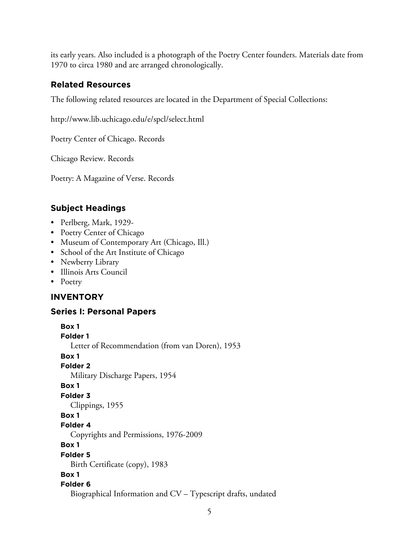its early years. Also included is a photograph of the Poetry Center founders. Materials date from 1970 to circa 1980 and are arranged chronologically.

# **Related Resources**

The following related resources are located in the Department of Special Collections:

http://www.lib.uchicago.edu/e/spcl/select.html

Poetry Center of Chicago. Records

Chicago Review. Records

Poetry: A Magazine of Verse. Records

# **Subject Headings**

- Perlberg, Mark, 1929-
- Poetry Center of Chicago
- Museum of Contemporary Art (Chicago, Ill.)
- School of the Art Institute of Chicago
- Newberry Library
- Illinois Arts Council
- Poetry

# **INVENTORY**

# **Series I: Personal Papers**

**Box 1 Folder 1** Letter of Recommendation (from van Doren), 1953 **Box 1 Folder 2** Military Discharge Papers, 1954 **Box 1 Folder 3** Clippings, 1955 **Box 1 Folder 4** Copyrights and Permissions, 1976-2009 **Box 1 Folder 5** Birth Certificate (copy), 1983 **Box 1 Folder 6** Biographical Information and CV – Typescript drafts, undated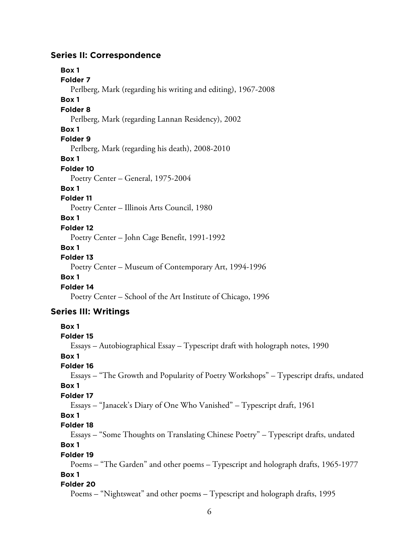## **Series II: Correspondence**

**Box 1 Folder 7** Perlberg, Mark (regarding his writing and editing), 1967-2008 **Box 1 Folder 8** Perlberg, Mark (regarding Lannan Residency), 2002 **Box 1 Folder 9** Perlberg, Mark (regarding his death), 2008-2010 **Box 1 Folder 10** Poetry Center – General, 1975-2004 **Box 1 Folder 11** Poetry Center – Illinois Arts Council, 1980 **Box 1 Folder 12** Poetry Center – John Cage Benefit, 1991-1992 **Box 1 Folder 13** Poetry Center – Museum of Contemporary Art, 1994-1996 **Box 1 Folder 14** Poetry Center – School of the Art Institute of Chicago, 1996 **Series III: Writings Box 1 Folder 15** Essays – Autobiographical Essay – Typescript draft with holograph notes, 1990

**Box 1**

#### **Folder 16**

Essays – "The Growth and Popularity of Poetry Workshops" – Typescript drafts, undated **Box 1**

#### **Folder 17**

Essays – "Janacek's Diary of One Who Vanished" – Typescript draft, 1961

### **Box 1**

**Folder 18**

Essays – "Some Thoughts on Translating Chinese Poetry" – Typescript drafts, undated **Box 1**

## **Folder 19**

Poems – "The Garden" and other poems – Typescript and holograph drafts, 1965-1977

# **Box 1**

**Folder 20**

Poems – "Nightsweat" and other poems – Typescript and holograph drafts, 1995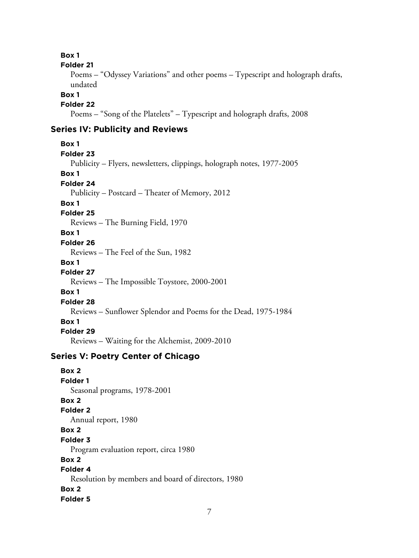**Box 1**

#### **Folder 21**

Poems – "Odyssey Variations" and other poems – Typescript and holograph drafts, undated

#### **Box 1**

**Folder 22**

Poems – "Song of the Platelets" – Typescript and holograph drafts, 2008

# **Series IV: Publicity and Reviews**

**Box 1 Folder 23** Publicity – Flyers, newsletters, clippings, holograph notes, 1977-2005 **Box 1 Folder 24** Publicity – Postcard – Theater of Memory, 2012 **Box 1 Folder 25** Reviews – The Burning Field, 1970 **Box 1 Folder 26** Reviews – The Feel of the Sun, 1982 **Box 1 Folder 27** Reviews – The Impossible Toystore, 2000-2001 **Box 1 Folder 28** Reviews – Sunflower Splendor and Poems for the Dead, 1975-1984 **Box 1 Folder 29** Reviews – Waiting for the Alchemist, 2009-2010

# **Series V: Poetry Center of Chicago**

**Box 2 Folder 1** Seasonal programs, 1978-2001 **Box 2 Folder 2** Annual report, 1980 **Box 2 Folder 3** Program evaluation report, circa 1980 **Box 2 Folder 4** Resolution by members and board of directors, 1980 **Box 2 Folder 5**